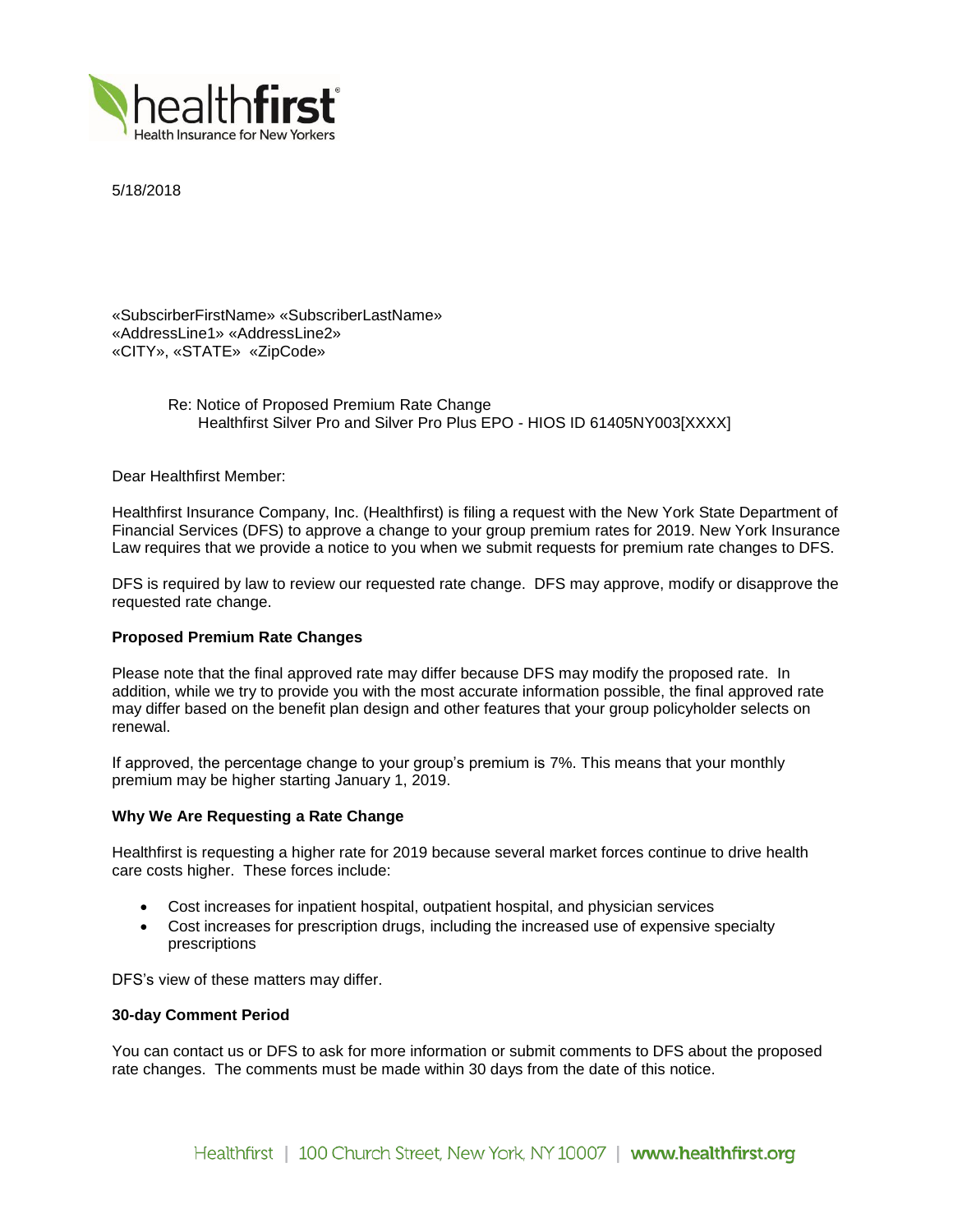

5/18/2018

«SubscirberFirstName» «SubscriberLastName» «AddressLine1» «AddressLine2» «CITY», «STATE» «ZipCode»

> Re: Notice of Proposed Premium Rate Change Healthfirst Silver Pro and Silver Pro Plus EPO - HIOS ID 61405NY003[XXXX]

Dear Healthfirst Member:

Healthfirst Insurance Company, Inc. (Healthfirst) is filing a request with the New York State Department of Financial Services (DFS) to approve a change to your group premium rates for 2019. New York Insurance Law requires that we provide a notice to you when we submit requests for premium rate changes to DFS.

DFS is required by law to review our requested rate change. DFS may approve, modify or disapprove the requested rate change.

# **Proposed Premium Rate Changes**

Please note that the final approved rate may differ because DFS may modify the proposed rate. In addition, while we try to provide you with the most accurate information possible, the final approved rate may differ based on the benefit plan design and other features that your group policyholder selects on renewal.

If approved, the percentage change to your group's premium is 7%. This means that your monthly premium may be higher starting January 1, 2019.

## **Why We Are Requesting a Rate Change**

Healthfirst is requesting a higher rate for 2019 because several market forces continue to drive health care costs higher. These forces include:

- Cost increases for inpatient hospital, outpatient hospital, and physician services
- Cost increases for prescription drugs, including the increased use of expensive specialty prescriptions

DFS's view of these matters may differ.

#### **30-day Comment Period**

You can contact us or DFS to ask for more information or submit comments to DFS about the proposed rate changes. The comments must be made within 30 days from the date of this notice.